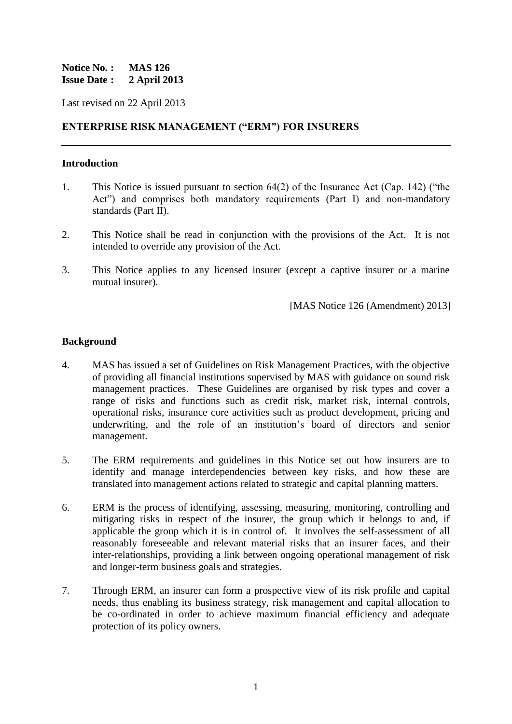#### **Notice No. : MAS 126 Issue Date : 2 April 2013**

Last revised on 22 April 2013

#### **ENTERPRISE RISK MANAGEMENT ("ERM") FOR INSURERS**

#### **Introduction**

- 1. This Notice is issued pursuant to section 64(2) of the Insurance Act (Cap. 142) ("the Act") and comprises both mandatory requirements (Part I) and non-mandatory standards (Part II).
- 2. This Notice shall be read in conjunction with the provisions of the Act. It is not intended to override any provision of the Act.
- 3. This Notice applies to any licensed insurer (except a captive insurer or a marine mutual insurer).

[MAS Notice 126 (Amendment) 2013]

#### **Background**

- 4. MAS has issued a set of Guidelines on Risk Management Practices, with the objective of providing all financial institutions supervised by MAS with guidance on sound risk management practices. These Guidelines are organised by risk types and cover a range of risks and functions such as credit risk, market risk, internal controls, operational risks, insurance core activities such as product development, pricing and underwriting, and the role of an institution's board of directors and senior management.
- 5. The ERM requirements and guidelines in this Notice set out how insurers are to identify and manage interdependencies between key risks, and how these are translated into management actions related to strategic and capital planning matters.
- 6. ERM is the process of identifying, assessing, measuring, monitoring, controlling and mitigating risks in respect of the insurer, the group which it belongs to and, if applicable the group which it is in control of. It involves the self-assessment of all reasonably foreseeable and relevant material risks that an insurer faces, and their inter-relationships, providing a link between ongoing operational management of risk and longer-term business goals and strategies.
- 7. Through ERM, an insurer can form a prospective view of its risk profile and capital needs, thus enabling its business strategy, risk management and capital allocation to be co-ordinated in order to achieve maximum financial efficiency and adequate protection of its policy owners.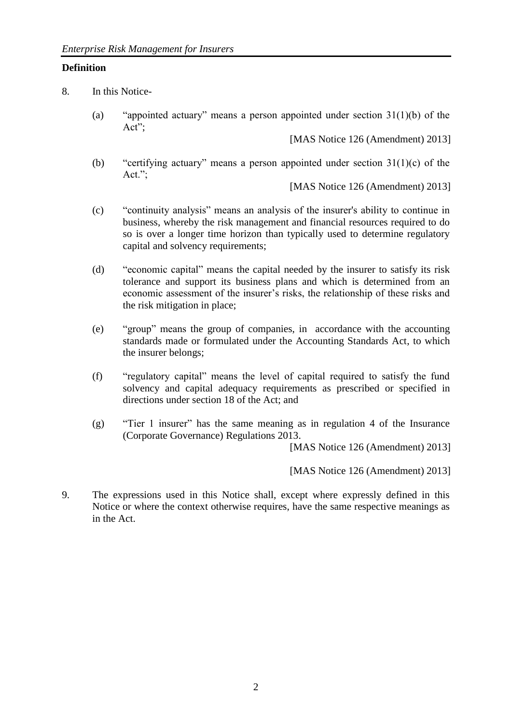#### **Definition**

8. In this Notice-

(a) "appointed actuary" means a person appointed under section 31(1)(b) of the Act";

[MAS Notice 126 (Amendment) 2013]

(b) "certifying actuary" means a person appointed under section  $31(1)(c)$  of the Act.";

[MAS Notice 126 (Amendment) 2013]

- (c) "continuity analysis" means an analysis of the insurer's ability to continue in business, whereby the risk management and financial resources required to do so is over a longer time horizon than typically used to determine regulatory capital and solvency requirements;
- (d) "economic capital" means the capital needed by the insurer to satisfy its risk tolerance and support its business plans and which is determined from an economic assessment of the insurer's risks, the relationship of these risks and the risk mitigation in place;
- (e) "group" means the group of companies, in accordance with the accounting standards made or formulated under the Accounting Standards Act, to which the insurer belongs;
- (f) "regulatory capital" means the level of capital required to satisfy the fund solvency and capital adequacy requirements as prescribed or specified in directions under section 18 of the Act; and
- (g) "Tier 1 insurer" has the same meaning as in regulation 4 of the Insurance (Corporate Governance) Regulations 2013.

[MAS Notice 126 (Amendment) 2013]

[MAS Notice 126 (Amendment) 2013]

9. The expressions used in this Notice shall, except where expressly defined in this Notice or where the context otherwise requires, have the same respective meanings as in the Act.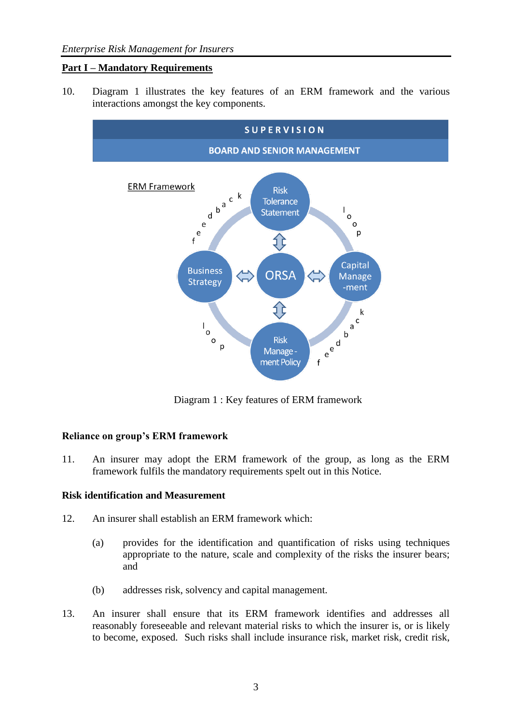## **Part I – Mandatory Requirements**

10. Diagram 1 illustrates the key features of an ERM framework and the various interactions amongst the key components.



Diagram 1 : Key features of ERM framework

## **Reliance on group's ERM framework**

11. An insurer may adopt the ERM framework of the group, as long as the ERM framework fulfils the mandatory requirements spelt out in this Notice.

## **Risk identification and Measurement**

- 12. An insurer shall establish an ERM framework which:
	- (a) provides for the identification and quantification of risks using techniques appropriate to the nature, scale and complexity of the risks the insurer bears; and
	- (b) addresses risk, solvency and capital management.
- 13. An insurer shall ensure that its ERM framework identifies and addresses all reasonably foreseeable and relevant material risks to which the insurer is, or is likely to become, exposed. Such risks shall include insurance risk, market risk, credit risk,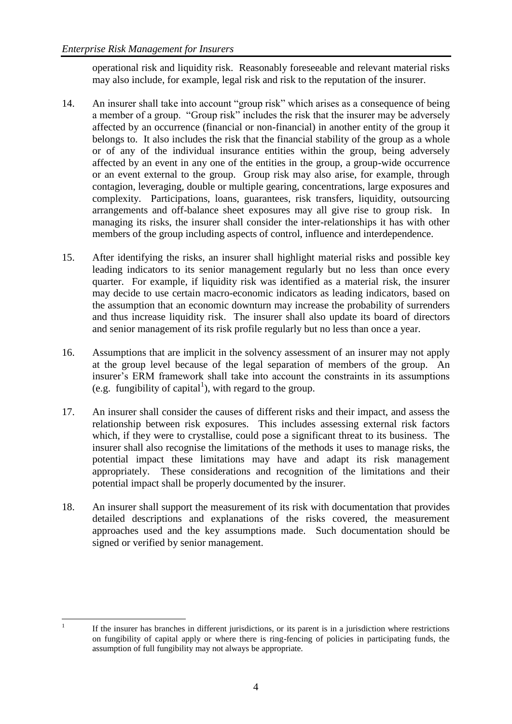operational risk and liquidity risk. Reasonably foreseeable and relevant material risks may also include, for example, legal risk and risk to the reputation of the insurer.

- 14. An insurer shall take into account "group risk" which arises as a consequence of being a member of a group. "Group risk" includes the risk that the insurer may be adversely affected by an occurrence (financial or non-financial) in another entity of the group it belongs to. It also includes the risk that the financial stability of the group as a whole or of any of the individual insurance entities within the group, being adversely affected by an event in any one of the entities in the group, a group-wide occurrence or an event external to the group. Group risk may also arise, for example, through contagion, leveraging, double or multiple gearing, concentrations, large exposures and complexity. Participations, loans, guarantees, risk transfers, liquidity, outsourcing arrangements and off-balance sheet exposures may all give rise to group risk. In managing its risks, the insurer shall consider the inter-relationships it has with other members of the group including aspects of control, influence and interdependence.
- 15. After identifying the risks, an insurer shall highlight material risks and possible key leading indicators to its senior management regularly but no less than once every quarter. For example, if liquidity risk was identified as a material risk, the insurer may decide to use certain macro-economic indicators as leading indicators, based on the assumption that an economic downturn may increase the probability of surrenders and thus increase liquidity risk. The insurer shall also update its board of directors and senior management of its risk profile regularly but no less than once a year.
- 16. Assumptions that are implicit in the solvency assessment of an insurer may not apply at the group level because of the legal separation of members of the group. An insurer's ERM framework shall take into account the constraints in its assumptions (e.g. fungibility of capital<sup>1</sup>), with regard to the group.
- 17. An insurer shall consider the causes of different risks and their impact, and assess the relationship between risk exposures. This includes assessing external risk factors which, if they were to crystallise, could pose a significant threat to its business. The insurer shall also recognise the limitations of the methods it uses to manage risks, the potential impact these limitations may have and adapt its risk management appropriately. These considerations and recognition of the limitations and their potential impact shall be properly documented by the insurer.
- 18. An insurer shall support the measurement of its risk with documentation that provides detailed descriptions and explanations of the risks covered, the measurement approaches used and the key assumptions made. Such documentation should be signed or verified by senior management.

 $\frac{1}{1}$ If the insurer has branches in different jurisdictions, or its parent is in a jurisdiction where restrictions on fungibility of capital apply or where there is ring-fencing of policies in participating funds, the assumption of full fungibility may not always be appropriate.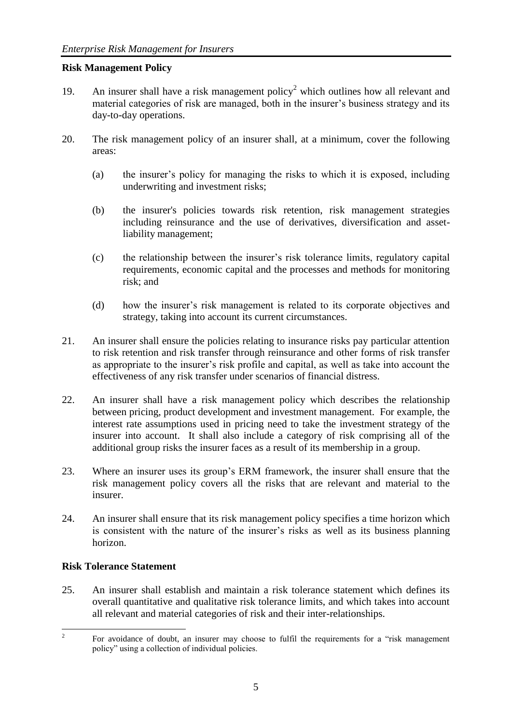## **Risk Management Policy**

- 19. An insurer shall have a risk management policy<sup>2</sup> which outlines how all relevant and material categories of risk are managed, both in the insurer's business strategy and its day-to-day operations.
- 20. The risk management policy of an insurer shall, at a minimum, cover the following areas:
	- (a) the insurer's policy for managing the risks to which it is exposed, including underwriting and investment risks;
	- (b) the insurer's policies towards risk retention, risk management strategies including reinsurance and the use of derivatives, diversification and assetliability management;
	- (c) the relationship between the insurer's risk tolerance limits, regulatory capital requirements, economic capital and the processes and methods for monitoring risk; and
	- (d) how the insurer's risk management is related to its corporate objectives and strategy, taking into account its current circumstances.
- 21. An insurer shall ensure the policies relating to insurance risks pay particular attention to risk retention and risk transfer through reinsurance and other forms of risk transfer as appropriate to the insurer's risk profile and capital, as well as take into account the effectiveness of any risk transfer under scenarios of financial distress.
- 22. An insurer shall have a risk management policy which describes the relationship between pricing, product development and investment management. For example, the interest rate assumptions used in pricing need to take the investment strategy of the insurer into account. It shall also include a category of risk comprising all of the additional group risks the insurer faces as a result of its membership in a group.
- 23. Where an insurer uses its group's ERM framework, the insurer shall ensure that the risk management policy covers all the risks that are relevant and material to the insurer.
- 24. An insurer shall ensure that its risk management policy specifies a time horizon which is consistent with the nature of the insurer's risks as well as its business planning horizon.

## **Risk Tolerance Statement**

25. An insurer shall establish and maintain a risk tolerance statement which defines its overall quantitative and qualitative risk tolerance limits, and which takes into account all relevant and material categories of risk and their inter-relationships.

 $\frac{1}{2}$ For avoidance of doubt, an insurer may choose to fulfil the requirements for a "risk management policy" using a collection of individual policies.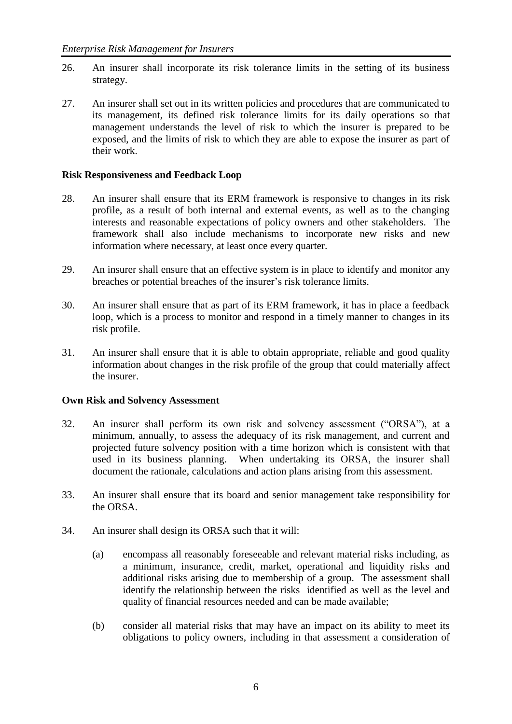- 26. An insurer shall incorporate its risk tolerance limits in the setting of its business strategy.
- 27. An insurer shall set out in its written policies and procedures that are communicated to its management, its defined risk tolerance limits for its daily operations so that management understands the level of risk to which the insurer is prepared to be exposed, and the limits of risk to which they are able to expose the insurer as part of their work.

#### **Risk Responsiveness and Feedback Loop**

- 28. An insurer shall ensure that its ERM framework is responsive to changes in its risk profile, as a result of both internal and external events, as well as to the changing interests and reasonable expectations of policy owners and other stakeholders. The framework shall also include mechanisms to incorporate new risks and new information where necessary, at least once every quarter.
- 29. An insurer shall ensure that an effective system is in place to identify and monitor any breaches or potential breaches of the insurer's risk tolerance limits.
- 30. An insurer shall ensure that as part of its ERM framework, it has in place a feedback loop, which is a process to monitor and respond in a timely manner to changes in its risk profile.
- 31. An insurer shall ensure that it is able to obtain appropriate, reliable and good quality information about changes in the risk profile of the group that could materially affect the insurer.

#### **Own Risk and Solvency Assessment**

- 32. An insurer shall perform its own risk and solvency assessment ("ORSA"), at a minimum, annually, to assess the adequacy of its risk management, and current and projected future solvency position with a time horizon which is consistent with that used in its business planning. When undertaking its ORSA, the insurer shall document the rationale, calculations and action plans arising from this assessment.
- 33. An insurer shall ensure that its board and senior management take responsibility for the ORSA.
- 34. An insurer shall design its ORSA such that it will:
	- (a) encompass all reasonably foreseeable and relevant material risks including, as a minimum, insurance, credit, market, operational and liquidity risks and additional risks arising due to membership of a group. The assessment shall identify the relationship between the risks identified as well as the level and quality of financial resources needed and can be made available;
	- (b) consider all material risks that may have an impact on its ability to meet its obligations to policy owners, including in that assessment a consideration of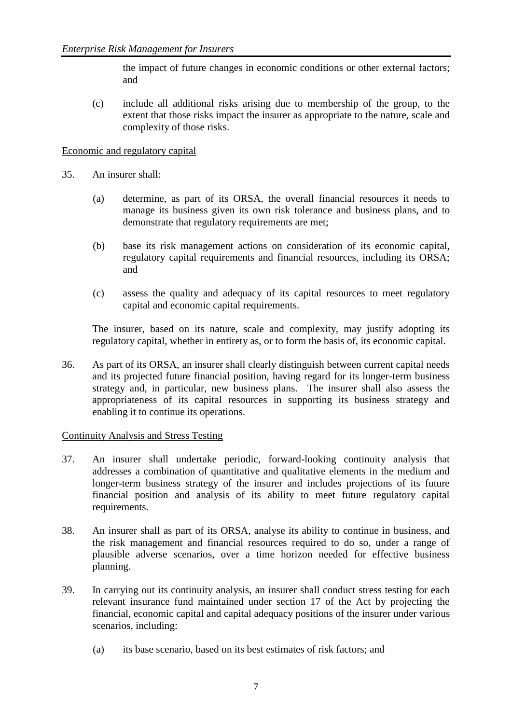the impact of future changes in economic conditions or other external factors; and

(c) include all additional risks arising due to membership of the group, to the extent that those risks impact the insurer as appropriate to the nature, scale and complexity of those risks.

#### Economic and regulatory capital

- 35. An insurer shall:
	- (a) determine, as part of its ORSA, the overall financial resources it needs to manage its business given its own risk tolerance and business plans, and to demonstrate that regulatory requirements are met;
	- (b) base its risk management actions on consideration of its economic capital, regulatory capital requirements and financial resources, including its ORSA; and
	- (c) assess the quality and adequacy of its capital resources to meet regulatory capital and economic capital requirements.

The insurer, based on its nature, scale and complexity, may justify adopting its regulatory capital, whether in entirety as, or to form the basis of, its economic capital.

36. As part of its ORSA, an insurer shall clearly distinguish between current capital needs and its projected future financial position, having regard for its longer-term business strategy and, in particular, new business plans. The insurer shall also assess the appropriateness of its capital resources in supporting its business strategy and enabling it to continue its operations.

#### Continuity Analysis and Stress Testing

- 37. An insurer shall undertake periodic, forward-looking continuity analysis that addresses a combination of quantitative and qualitative elements in the medium and longer-term business strategy of the insurer and includes projections of its future financial position and analysis of its ability to meet future regulatory capital requirements.
- 38. An insurer shall as part of its ORSA, analyse its ability to continue in business, and the risk management and financial resources required to do so, under a range of plausible adverse scenarios, over a time horizon needed for effective business planning.
- 39. In carrying out its continuity analysis, an insurer shall conduct stress testing for each relevant insurance fund maintained under section 17 of the Act by projecting the financial, economic capital and capital adequacy positions of the insurer under various scenarios, including:
	- (a) its base scenario, based on its best estimates of risk factors; and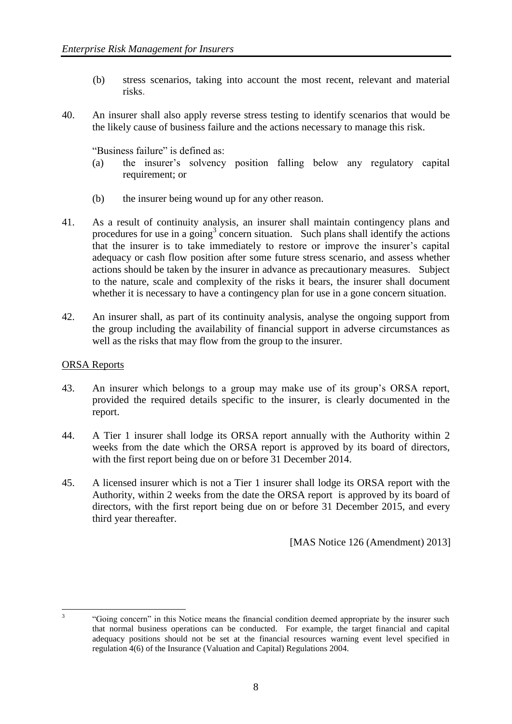- (b) stress scenarios, taking into account the most recent, relevant and material risks.
- 40. An insurer shall also apply reverse stress testing to identify scenarios that would be the likely cause of business failure and the actions necessary to manage this risk.

"Business failure" is defined as:

- (a) the insurer's solvency position falling below any regulatory capital requirement; or
- (b) the insurer being wound up for any other reason.
- 41. As a result of continuity analysis, an insurer shall maintain contingency plans and procedures for use in a going<sup>3</sup> concern situation. Such plans shall identify the actions that the insurer is to take immediately to restore or improve the insurer's capital adequacy or cash flow position after some future stress scenario, and assess whether actions should be taken by the insurer in advance as precautionary measures. Subject to the nature, scale and complexity of the risks it bears, the insurer shall document whether it is necessary to have a contingency plan for use in a gone concern situation.
- 42. An insurer shall, as part of its continuity analysis, analyse the ongoing support from the group including the availability of financial support in adverse circumstances as well as the risks that may flow from the group to the insurer.

#### ORSA Reports

- 43. An insurer which belongs to a group may make use of its group's ORSA report, provided the required details specific to the insurer, is clearly documented in the report.
- 44. A Tier 1 insurer shall lodge its ORSA report annually with the Authority within 2 weeks from the date which the ORSA report is approved by its board of directors, with the first report being due on or before 31 December 2014.
- 45. A licensed insurer which is not a Tier 1 insurer shall lodge its ORSA report with the Authority, within 2 weeks from the date the ORSA report is approved by its board of directors, with the first report being due on or before 31 December 2015, and every third year thereafter.

[MAS Notice 126 (Amendment) 2013]

 $\frac{1}{3}$ 

<sup>&</sup>quot;Going concern" in this Notice means the financial condition deemed appropriate by the insurer such that normal business operations can be conducted. For example, the target financial and capital adequacy positions should not be set at the financial resources warning event level specified in regulation 4(6) of the Insurance (Valuation and Capital) Regulations 2004.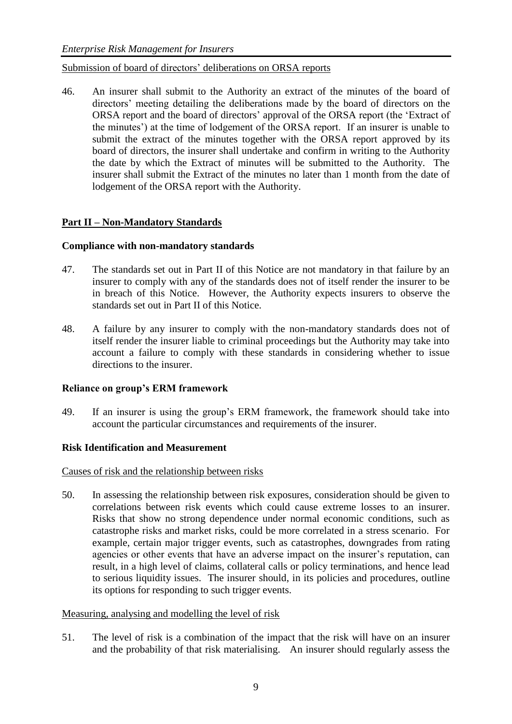#### Submission of board of directors' deliberations on ORSA reports

46. An insurer shall submit to the Authority an extract of the minutes of the board of directors' meeting detailing the deliberations made by the board of directors on the ORSA report and the board of directors' approval of the ORSA report (the 'Extract of the minutes') at the time of lodgement of the ORSA report. If an insurer is unable to submit the extract of the minutes together with the ORSA report approved by its board of directors, the insurer shall undertake and confirm in writing to the Authority the date by which the Extract of minutes will be submitted to the Authority. The insurer shall submit the Extract of the minutes no later than 1 month from the date of lodgement of the ORSA report with the Authority.

## **Part II – Non-Mandatory Standards**

## **Compliance with non-mandatory standards**

- 47. The standards set out in Part II of this Notice are not mandatory in that failure by an insurer to comply with any of the standards does not of itself render the insurer to be in breach of this Notice. However, the Authority expects insurers to observe the standards set out in Part II of this Notice.
- 48. A failure by any insurer to comply with the non-mandatory standards does not of itself render the insurer liable to criminal proceedings but the Authority may take into account a failure to comply with these standards in considering whether to issue directions to the insurer.

## **Reliance on group's ERM framework**

49. If an insurer is using the group's ERM framework, the framework should take into account the particular circumstances and requirements of the insurer.

## **Risk Identification and Measurement**

#### Causes of risk and the relationship between risks

50. In assessing the relationship between risk exposures, consideration should be given to correlations between risk events which could cause extreme losses to an insurer. Risks that show no strong dependence under normal economic conditions, such as catastrophe risks and market risks, could be more correlated in a stress scenario. For example, certain major trigger events, such as catastrophes, downgrades from rating agencies or other events that have an adverse impact on the insurer's reputation, can result, in a high level of claims, collateral calls or policy terminations, and hence lead to serious liquidity issues. The insurer should, in its policies and procedures, outline its options for responding to such trigger events.

## Measuring, analysing and modelling the level of risk

51. The level of risk is a combination of the impact that the risk will have on an insurer and the probability of that risk materialising. An insurer should regularly assess the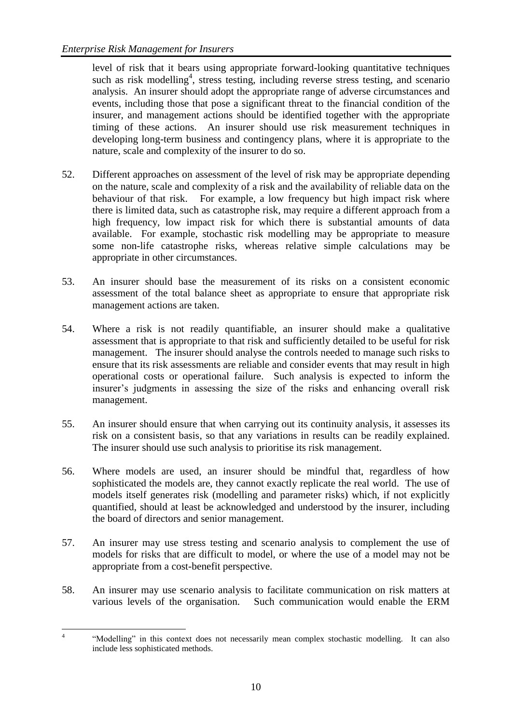level of risk that it bears using appropriate forward-looking quantitative techniques such as risk modelling<sup>4</sup>, stress testing, including reverse stress testing, and scenario analysis. An insurer should adopt the appropriate range of adverse circumstances and events, including those that pose a significant threat to the financial condition of the insurer, and management actions should be identified together with the appropriate timing of these actions. An insurer should use risk measurement techniques in developing long-term business and contingency plans, where it is appropriate to the nature, scale and complexity of the insurer to do so.

- 52. Different approaches on assessment of the level of risk may be appropriate depending on the nature, scale and complexity of a risk and the availability of reliable data on the behaviour of that risk. For example, a low frequency but high impact risk where there is limited data, such as catastrophe risk, may require a different approach from a high frequency, low impact risk for which there is substantial amounts of data available. For example, stochastic risk modelling may be appropriate to measure some non-life catastrophe risks, whereas relative simple calculations may be appropriate in other circumstances.
- 53. An insurer should base the measurement of its risks on a consistent economic assessment of the total balance sheet as appropriate to ensure that appropriate risk management actions are taken.
- 54. Where a risk is not readily quantifiable, an insurer should make a qualitative assessment that is appropriate to that risk and sufficiently detailed to be useful for risk management. The insurer should analyse the controls needed to manage such risks to ensure that its risk assessments are reliable and consider events that may result in high operational costs or operational failure. Such analysis is expected to inform the insurer's judgments in assessing the size of the risks and enhancing overall risk management.
- 55. An insurer should ensure that when carrying out its continuity analysis, it assesses its risk on a consistent basis, so that any variations in results can be readily explained. The insurer should use such analysis to prioritise its risk management.
- 56. Where models are used, an insurer should be mindful that, regardless of how sophisticated the models are, they cannot exactly replicate the real world. The use of models itself generates risk (modelling and parameter risks) which, if not explicitly quantified, should at least be acknowledged and understood by the insurer, including the board of directors and senior management.
- 57. An insurer may use stress testing and scenario analysis to complement the use of models for risks that are difficult to model, or where the use of a model may not be appropriate from a cost-benefit perspective.
- 58. An insurer may use scenario analysis to facilitate communication on risk matters at various levels of the organisation. Such communication would enable the ERM

 $\frac{1}{4}$ "Modelling" in this context does not necessarily mean complex stochastic modelling. It can also include less sophisticated methods.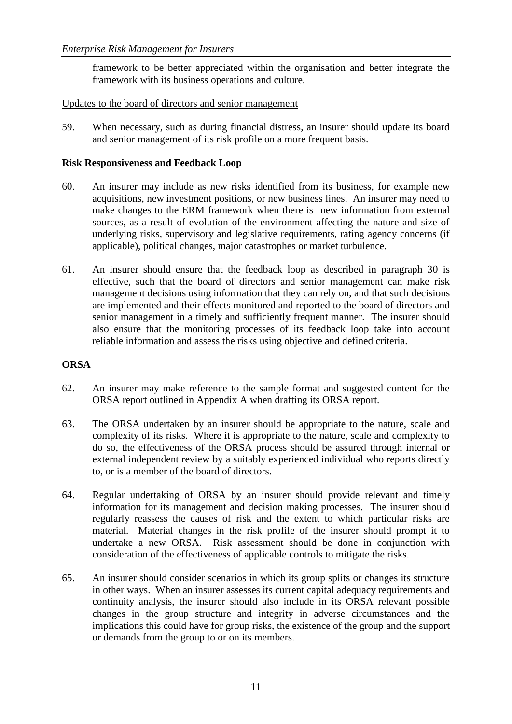framework to be better appreciated within the organisation and better integrate the framework with its business operations and culture.

## Updates to the board of directors and senior management

59. When necessary, such as during financial distress, an insurer should update its board and senior management of its risk profile on a more frequent basis.

#### **Risk Responsiveness and Feedback Loop**

- 60. An insurer may include as new risks identified from its business, for example new acquisitions, new investment positions, or new business lines. An insurer may need to make changes to the ERM framework when there is new information from external sources, as a result of evolution of the environment affecting the nature and size of underlying risks, supervisory and legislative requirements, rating agency concerns (if applicable), political changes, major catastrophes or market turbulence.
- 61. An insurer should ensure that the feedback loop as described in paragraph 30 is effective, such that the board of directors and senior management can make risk management decisions using information that they can rely on, and that such decisions are implemented and their effects monitored and reported to the board of directors and senior management in a timely and sufficiently frequent manner. The insurer should also ensure that the monitoring processes of its feedback loop take into account reliable information and assess the risks using objective and defined criteria.

## **ORSA**

- 62. An insurer may make reference to the sample format and suggested content for the ORSA report outlined in Appendix A when drafting its ORSA report.
- 63. The ORSA undertaken by an insurer should be appropriate to the nature, scale and complexity of its risks. Where it is appropriate to the nature, scale and complexity to do so, the effectiveness of the ORSA process should be assured through internal or external independent review by a suitably experienced individual who reports directly to, or is a member of the board of directors.
- 64. Regular undertaking of ORSA by an insurer should provide relevant and timely information for its management and decision making processes. The insurer should regularly reassess the causes of risk and the extent to which particular risks are material. Material changes in the risk profile of the insurer should prompt it to undertake a new ORSA. Risk assessment should be done in conjunction with consideration of the effectiveness of applicable controls to mitigate the risks.
- 65. An insurer should consider scenarios in which its group splits or changes its structure in other ways. When an insurer assesses its current capital adequacy requirements and continuity analysis, the insurer should also include in its ORSA relevant possible changes in the group structure and integrity in adverse circumstances and the implications this could have for group risks, the existence of the group and the support or demands from the group to or on its members.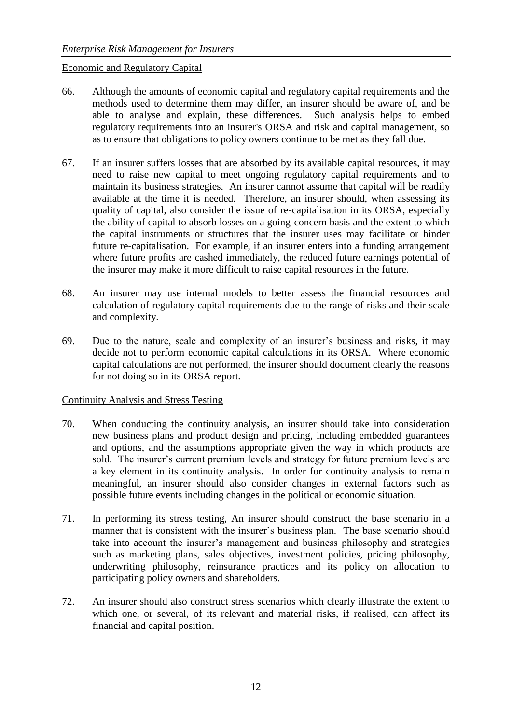#### Economic and Regulatory Capital

- 66. Although the amounts of economic capital and regulatory capital requirements and the methods used to determine them may differ, an insurer should be aware of, and be able to analyse and explain, these differences. Such analysis helps to embed regulatory requirements into an insurer's ORSA and risk and capital management, so as to ensure that obligations to policy owners continue to be met as they fall due.
- 67. If an insurer suffers losses that are absorbed by its available capital resources, it may need to raise new capital to meet ongoing regulatory capital requirements and to maintain its business strategies. An insurer cannot assume that capital will be readily available at the time it is needed. Therefore, an insurer should, when assessing its quality of capital, also consider the issue of re-capitalisation in its ORSA, especially the ability of capital to absorb losses on a going-concern basis and the extent to which the capital instruments or structures that the insurer uses may facilitate or hinder future re-capitalisation. For example, if an insurer enters into a funding arrangement where future profits are cashed immediately, the reduced future earnings potential of the insurer may make it more difficult to raise capital resources in the future.
- 68. An insurer may use internal models to better assess the financial resources and calculation of regulatory capital requirements due to the range of risks and their scale and complexity.
- 69. Due to the nature, scale and complexity of an insurer's business and risks, it may decide not to perform economic capital calculations in its ORSA. Where economic capital calculations are not performed, the insurer should document clearly the reasons for not doing so in its ORSA report.

#### Continuity Analysis and Stress Testing

- 70. When conducting the continuity analysis, an insurer should take into consideration new business plans and product design and pricing, including embedded guarantees and options, and the assumptions appropriate given the way in which products are sold. The insurer's current premium levels and strategy for future premium levels are a key element in its continuity analysis. In order for continuity analysis to remain meaningful, an insurer should also consider changes in external factors such as possible future events including changes in the political or economic situation.
- 71. In performing its stress testing, An insurer should construct the base scenario in a manner that is consistent with the insurer's business plan. The base scenario should take into account the insurer's management and business philosophy and strategies such as marketing plans, sales objectives, investment policies, pricing philosophy, underwriting philosophy, reinsurance practices and its policy on allocation to participating policy owners and shareholders.
- 72. An insurer should also construct stress scenarios which clearly illustrate the extent to which one, or several, of its relevant and material risks, if realised, can affect its financial and capital position.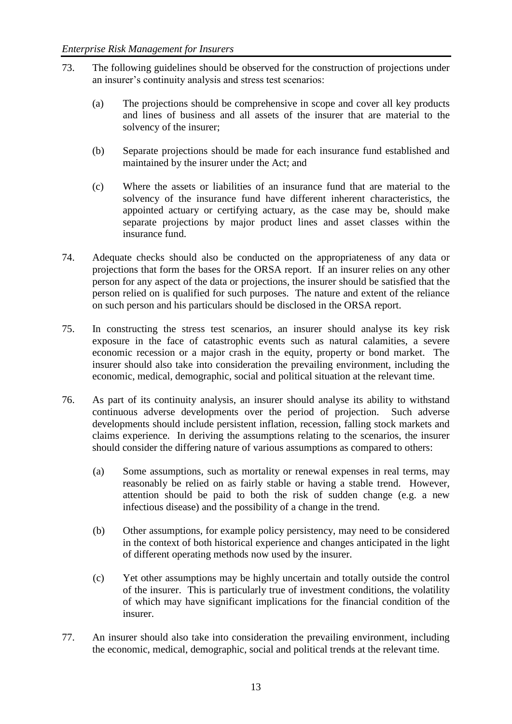- 73. The following guidelines should be observed for the construction of projections under an insurer's continuity analysis and stress test scenarios:
	- (a) The projections should be comprehensive in scope and cover all key products and lines of business and all assets of the insurer that are material to the solvency of the insurer;
	- (b) Separate projections should be made for each insurance fund established and maintained by the insurer under the Act; and
	- (c) Where the assets or liabilities of an insurance fund that are material to the solvency of the insurance fund have different inherent characteristics, the appointed actuary or certifying actuary, as the case may be, should make separate projections by major product lines and asset classes within the insurance fund.
- 74. Adequate checks should also be conducted on the appropriateness of any data or projections that form the bases for the ORSA report. If an insurer relies on any other person for any aspect of the data or projections, the insurer should be satisfied that the person relied on is qualified for such purposes. The nature and extent of the reliance on such person and his particulars should be disclosed in the ORSA report.
- 75. In constructing the stress test scenarios, an insurer should analyse its key risk exposure in the face of catastrophic events such as natural calamities, a severe economic recession or a major crash in the equity, property or bond market. The insurer should also take into consideration the prevailing environment, including the economic, medical, demographic, social and political situation at the relevant time.
- 76. As part of its continuity analysis, an insurer should analyse its ability to withstand continuous adverse developments over the period of projection. Such adverse developments should include persistent inflation, recession, falling stock markets and claims experience. In deriving the assumptions relating to the scenarios, the insurer should consider the differing nature of various assumptions as compared to others:
	- (a) Some assumptions, such as mortality or renewal expenses in real terms, may reasonably be relied on as fairly stable or having a stable trend. However, attention should be paid to both the risk of sudden change (e.g. a new infectious disease) and the possibility of a change in the trend.
	- (b) Other assumptions, for example policy persistency, may need to be considered in the context of both historical experience and changes anticipated in the light of different operating methods now used by the insurer.
	- (c) Yet other assumptions may be highly uncertain and totally outside the control of the insurer. This is particularly true of investment conditions, the volatility of which may have significant implications for the financial condition of the insurer.
- 77. An insurer should also take into consideration the prevailing environment, including the economic, medical, demographic, social and political trends at the relevant time.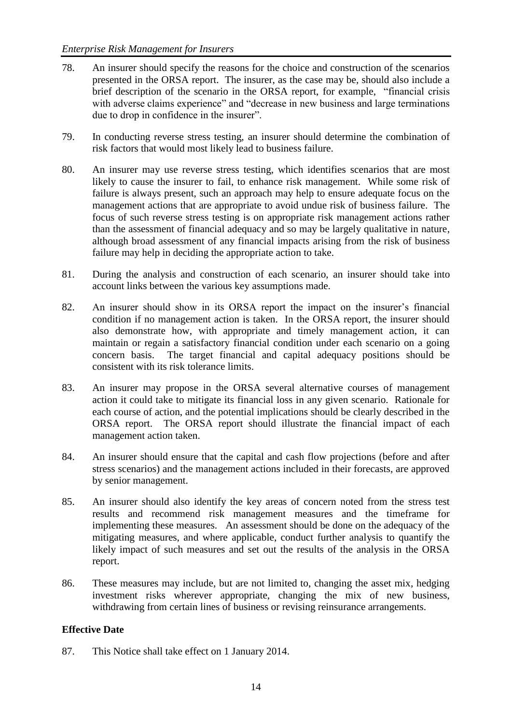- 78. An insurer should specify the reasons for the choice and construction of the scenarios presented in the ORSA report. The insurer, as the case may be, should also include a brief description of the scenario in the ORSA report, for example, "financial crisis with adverse claims experience" and "decrease in new business and large terminations due to drop in confidence in the insurer".
- 79. In conducting reverse stress testing, an insurer should determine the combination of risk factors that would most likely lead to business failure.
- 80. An insurer may use reverse stress testing, which identifies scenarios that are most likely to cause the insurer to fail, to enhance risk management. While some risk of failure is always present, such an approach may help to ensure adequate focus on the management actions that are appropriate to avoid undue risk of business failure. The focus of such reverse stress testing is on appropriate risk management actions rather than the assessment of financial adequacy and so may be largely qualitative in nature, although broad assessment of any financial impacts arising from the risk of business failure may help in deciding the appropriate action to take.
- 81. During the analysis and construction of each scenario, an insurer should take into account links between the various key assumptions made.
- 82. An insurer should show in its ORSA report the impact on the insurer's financial condition if no management action is taken. In the ORSA report, the insurer should also demonstrate how, with appropriate and timely management action, it can maintain or regain a satisfactory financial condition under each scenario on a going concern basis. The target financial and capital adequacy positions should be consistent with its risk tolerance limits.
- 83. An insurer may propose in the ORSA several alternative courses of management action it could take to mitigate its financial loss in any given scenario. Rationale for each course of action, and the potential implications should be clearly described in the ORSA report. The ORSA report should illustrate the financial impact of each management action taken.
- 84. An insurer should ensure that the capital and cash flow projections (before and after stress scenarios) and the management actions included in their forecasts, are approved by senior management.
- 85. An insurer should also identify the key areas of concern noted from the stress test results and recommend risk management measures and the timeframe for implementing these measures. An assessment should be done on the adequacy of the mitigating measures, and where applicable, conduct further analysis to quantify the likely impact of such measures and set out the results of the analysis in the ORSA report.
- 86. These measures may include, but are not limited to, changing the asset mix, hedging investment risks wherever appropriate, changing the mix of new business, withdrawing from certain lines of business or revising reinsurance arrangements.

## **Effective Date**

87. This Notice shall take effect on 1 January 2014.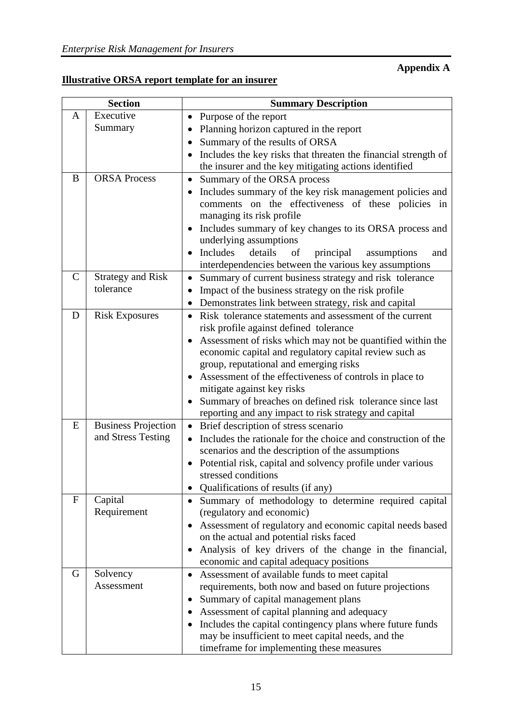# **Appendix A**

## **Illustrative ORSA report template for an insurer**

|               | <b>Section</b>                        | <b>Summary Description</b>                                                                                           |
|---------------|---------------------------------------|----------------------------------------------------------------------------------------------------------------------|
| A             | Executive                             | Purpose of the report<br>$\bullet$                                                                                   |
|               | Summary                               | Planning horizon captured in the report                                                                              |
|               |                                       | Summary of the results of ORSA<br>$\bullet$                                                                          |
|               |                                       | Includes the key risks that threaten the financial strength of<br>$\bullet$                                          |
|               |                                       | the insurer and the key mitigating actions identified                                                                |
| B             | <b>ORSA Process</b>                   | Summary of the ORSA process<br>$\bullet$                                                                             |
|               |                                       | Includes summary of the key risk management policies and<br>$\bullet$                                                |
|               |                                       | comments on the effectiveness of these policies in                                                                   |
|               |                                       | managing its risk profile                                                                                            |
|               |                                       | Includes summary of key changes to its ORSA process and<br>$\bullet$                                                 |
|               |                                       | underlying assumptions                                                                                               |
|               |                                       | Includes<br>details<br>of<br>principal<br>assumptions<br>and                                                         |
| $\mathcal{C}$ |                                       | interdependencies between the various key assumptions                                                                |
|               | <b>Strategy and Risk</b><br>tolerance | Summary of current business strategy and risk tolerance<br>$\bullet$                                                 |
|               |                                       | Impact of the business strategy on the risk profile<br>$\bullet$                                                     |
| D             | <b>Risk Exposures</b>                 | Demonstrates link between strategy, risk and capital<br>$\bullet$                                                    |
|               |                                       | Risk tolerance statements and assessment of the current<br>$\bullet$<br>risk profile against defined tolerance       |
|               |                                       | Assessment of risks which may not be quantified within the                                                           |
|               |                                       | economic capital and regulatory capital review such as                                                               |
|               |                                       | group, reputational and emerging risks                                                                               |
|               |                                       | Assessment of the effectiveness of controls in place to                                                              |
|               |                                       | mitigate against key risks                                                                                           |
|               |                                       | Summary of breaches on defined risk tolerance since last<br>$\bullet$                                                |
|               |                                       | reporting and any impact to risk strategy and capital                                                                |
| E             | <b>Business Projection</b>            | Brief description of stress scenario<br>$\bullet$                                                                    |
|               | and Stress Testing                    | Includes the rationale for the choice and construction of the                                                        |
|               |                                       | scenarios and the description of the assumptions                                                                     |
|               |                                       | Potential risk, capital and solvency profile under various                                                           |
|               |                                       | stressed conditions                                                                                                  |
|               |                                       | Qualifications of results (if any)<br>$\bullet$                                                                      |
| $\mathbf{F}$  | Capital                               | Summary of methodology to determine required capital<br>$\bullet$                                                    |
|               | Requirement                           | (regulatory and economic)                                                                                            |
|               |                                       | Assessment of regulatory and economic capital needs based<br>٠                                                       |
|               |                                       | on the actual and potential risks faced                                                                              |
|               |                                       | Analysis of key drivers of the change in the financial,<br>$\bullet$                                                 |
| G             |                                       | economic and capital adequacy positions                                                                              |
|               | Solvency<br>Assessment                | Assessment of available funds to meet capital<br>$\bullet$<br>requirements, both now and based on future projections |
|               |                                       | Summary of capital management plans<br>٠                                                                             |
|               |                                       | Assessment of capital planning and adequacy<br>٠                                                                     |
|               |                                       | Includes the capital contingency plans where future funds<br>$\bullet$                                               |
|               |                                       | may be insufficient to meet capital needs, and the                                                                   |
|               |                                       | timeframe for implementing these measures                                                                            |